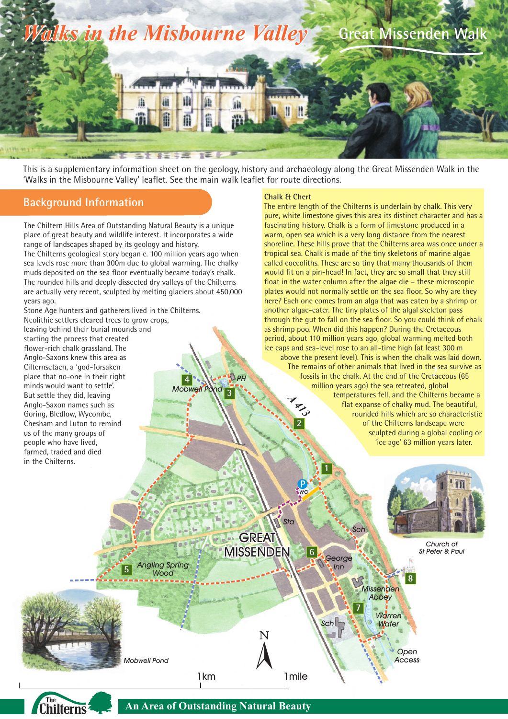

This is a supplementary information sheet on the geology, history and archaeology along the Great Missenden Walk in the 'Walks in the Misbourne Valley' leaflet. See the main walk leaflet for route directions.

*PH*

**3**

*Mobwell* Po

**4**

#### **Background Information**

The Chiltern Hills Area of Outstanding Natural Beauty is a unique place of great beauty and wildlife interest. It incorporates a wide range of landscapes shaped by its geology and history. The Chilterns geological story began c. 100 million years ago when sea levels rose more than 300m due to global warming. The chalky muds deposited on the sea floor eventually became today's chalk. The rounded hills and deeply dissected dry valleys of the Chilterns are actually very recent, sculpted by melting glaciers about 450,000 years ago.

Stone Age hunters and gatherers lived in the Chilterns. Neolithic settlers cleared trees to grow crops, leaving behind their burial mounds and starting the process that created flower-rich chalk grassland. The Anglo-Saxons knew this area as Cilternsetaen, a 'god-forsaken place that no-one in their right minds would want to settle'. But settle they did, leaving Anglo-Saxon names such as Goring, Bledlow, Wycombe, Chesham and Luton to remind us of the many groups of people who have lived, farmed, traded and died in the Chilterns.

#### **Chalk & Chert**

*A 413 2* fossils in the chalk. At the end of the Cretaceous (65 The entire length of the Chilterns is underlain by chalk. This very pure, white limestone gives this area its distinct character and has a fascinating history. Chalk is a form of limestone produced in a warm, open sea which is a very long distance from the nearest shoreline. These hills prove that the Chilterns area was once under a tropical sea. Chalk is made of the tiny skeletons of marine algae called coccoliths. These are so tiny that many thousands of them would fit on a pin-head! In fact, they are so small that they still float in the water column after the algae die – these microscopic plates would not normally settle on the sea floor. So why are they here? Each one comes from an alga that was eaten by a shrimp or another algae-eater. The tiny plates of the algal skeleton pass through the gut to fall on the sea floor. So you could think of chalk as shrimp poo. When did this happen? During the Cretaceous period, about 110 million years ago, global warming melted both ice caps and sea-level rose to an all-time high (at least 300 m above the present level). This is when the chalk was laid down. The remains of other animals that lived in the sea survive as million years ago) the sea retreated, global temperatures fell, and the Chilterns became a flat expanse of chalky mud. The beautiful, rounded hills which are so characteristic of the Chilterns landscape were sculpted during a global cooling or 'ice age' 63 million years later. **2**



P